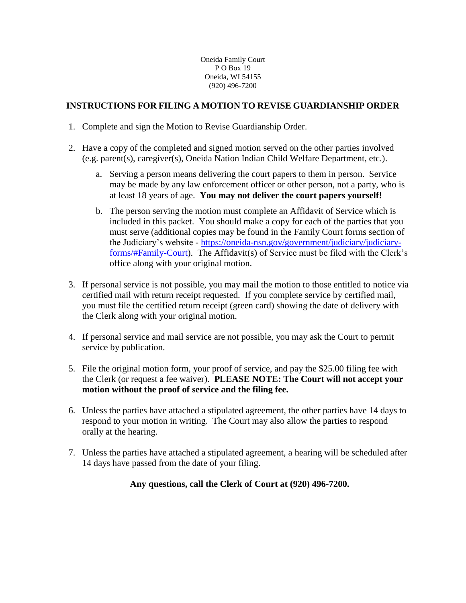## **INSTRUCTIONS FOR FILING A MOTION TO REVISE GUARDIANSHIP ORDER**

- 1. Complete and sign the Motion to Revise Guardianship Order.
- 2. Have a copy of the completed and signed motion served on the other parties involved (e.g. parent(s), caregiver(s), Oneida Nation Indian Child Welfare Department, etc.).
	- a. Serving a person means delivering the court papers to them in person. Service may be made by any law enforcement officer or other person, not a party, who is at least 18 years of age. **You may not deliver the court papers yourself!**
	- b. The person serving the motion must complete an Affidavit of Service which is included in this packet. You should make a copy for each of the parties that you must serve (additional copies may be found in the Family Court forms section of the Judiciary's website - [https://oneida-nsn.gov/government/judiciary/judiciary](https://oneida-nsn.gov/government/judiciary/judiciary-forms/#Family-Court)[forms/#Family-Court\)](https://oneida-nsn.gov/government/judiciary/judiciary-forms/#Family-Court). The Affidavit(s) of Service must be filed with the Clerk's office along with your original motion.
- 3. If personal service is not possible, you may mail the motion to those entitled to notice via certified mail with return receipt requested. If you complete service by certified mail, you must file the certified return receipt (green card) showing the date of delivery with the Clerk along with your original motion.
- 4. If personal service and mail service are not possible, you may ask the Court to permit service by publication.
- 5. File the original motion form, your proof of service, and pay the \$25.00 filing fee with the Clerk (or request a fee waiver). **PLEASE NOTE: The Court will not accept your motion without the proof of service and the filing fee.**
- 6. Unless the parties have attached a stipulated agreement, the other parties have 14 days to respond to your motion in writing. The Court may also allow the parties to respond orally at the hearing.
- 7. Unless the parties have attached a stipulated agreement, a hearing will be scheduled after 14 days have passed from the date of your filing.

## **Any questions, call the Clerk of Court at (920) 496-7200.**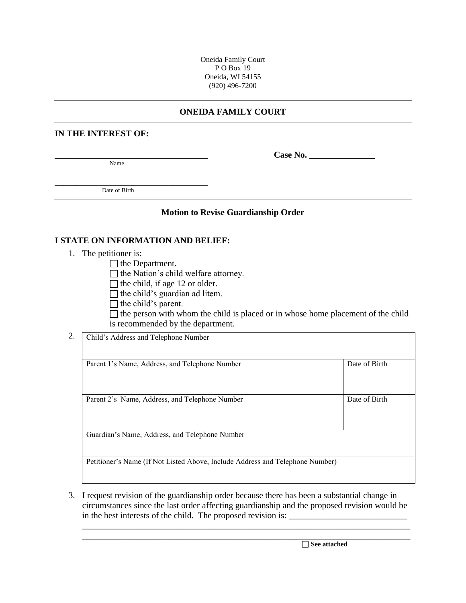## **ONEIDA FAMILY COURT**

#### **IN THE INTEREST OF:**

Name

**\_\_\_\_\_\_\_\_\_\_\_\_\_\_\_\_\_\_\_\_\_\_\_\_\_\_\_\_\_\_\_\_\_\_\_ Case No.** \_\_\_\_\_\_\_\_\_\_\_\_\_\_\_

\_\_\_\_\_\_\_\_\_\_\_\_\_\_\_\_\_\_\_\_\_\_\_\_\_\_\_\_\_\_\_\_\_\_\_ Date of Birth

#### **Motion to Revise Guardianship Order**

### **I STATE ON INFORMATION AND BELIEF:**

1. The petitioner is:

 $\Box$  the Department.

 $\Box$  the Nation's child welfare attorney.

- $\Box$  the child, if age 12 or older.
- $\Box$  the child's guardian ad litem.
- $\Box$  the child's parent.

 $\Box$  the person with whom the child is placed or in whose home placement of the child is recommended by the department.

2. Child's Address and Telephone Number

| Parent 1's Name, Address, and Telephone Number                                | Date of Birth |
|-------------------------------------------------------------------------------|---------------|
|                                                                               |               |
|                                                                               |               |
|                                                                               |               |
| Parent 2's Name, Address, and Telephone Number                                | Date of Birth |
|                                                                               |               |
|                                                                               |               |
|                                                                               |               |
| Guardian's Name, Address, and Telephone Number                                |               |
|                                                                               |               |
|                                                                               |               |
| Petitioner's Name (If Not Listed Above, Include Address and Telephone Number) |               |
|                                                                               |               |

3. I request revision of the guardianship order because there has been a substantial change in circumstances since the last order affecting guardianship and the proposed revision would be in the best interests of the child. The proposed revision is:

\_\_\_\_\_\_\_\_\_\_\_\_\_\_\_\_\_\_\_\_\_\_\_\_\_\_\_\_\_\_\_\_\_\_\_\_\_\_\_\_\_\_\_\_\_\_\_\_\_\_\_\_\_\_\_\_\_\_\_\_\_\_\_\_\_\_\_\_\_\_\_\_\_\_\_

\_\_\_\_\_\_\_\_\_\_\_\_\_\_\_\_\_\_\_\_\_\_\_\_\_\_\_\_\_\_\_\_\_\_\_\_\_\_\_\_\_\_\_\_\_\_\_\_\_\_\_\_\_\_\_\_\_\_\_\_\_\_\_\_\_\_\_\_\_\_\_\_\_\_\_ **See attached**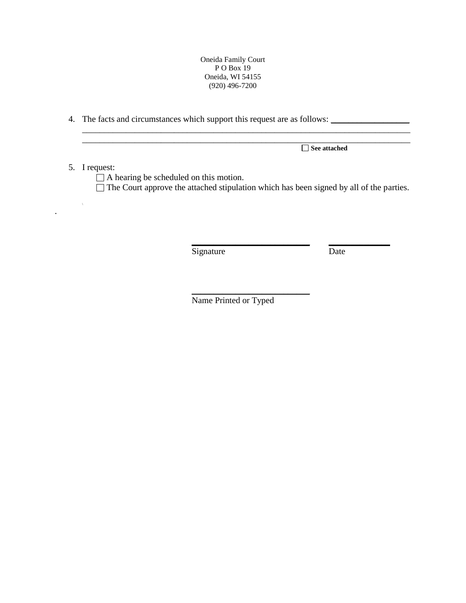4. The facts and circumstances which support this request are as follows: \_\_\_\_\_\_\_\_\_\_\_\_\_\_\_\_\_\_

 $5.$ 

 $\label{eq:1} \frac{1}{\sqrt{2}}\left(\frac{1}{\sqrt{2}}\right)^{2} \left(\frac{1}{\sqrt{2}}\right)^{2}$ 

.

|                                                                                                | See attached |
|------------------------------------------------------------------------------------------------|--------------|
| I request:                                                                                     |              |
| $\Box$ A hearing be scheduled on this motion.                                                  |              |
| $\Box$ The Court approve the attached stipulation which has been signed by all of the parties. |              |

\_\_\_\_\_\_\_\_\_\_\_\_\_\_\_\_\_\_\_\_\_\_\_\_\_\_\_\_\_\_\_\_\_\_\_\_\_\_\_\_\_\_\_\_\_\_\_\_\_\_\_\_\_\_\_\_\_\_\_\_\_\_\_\_\_\_\_\_\_\_\_\_\_\_\_

Signature Date

**\_\_\_\_\_\_\_\_\_\_\_\_\_\_\_\_\_\_\_\_\_\_\_\_\_\_\_ \_\_\_\_\_\_\_\_\_\_\_\_\_\_**

Name Printed or Typed

\_\_\_\_\_\_\_\_\_\_\_\_\_\_\_\_\_\_\_\_\_\_\_\_\_\_\_